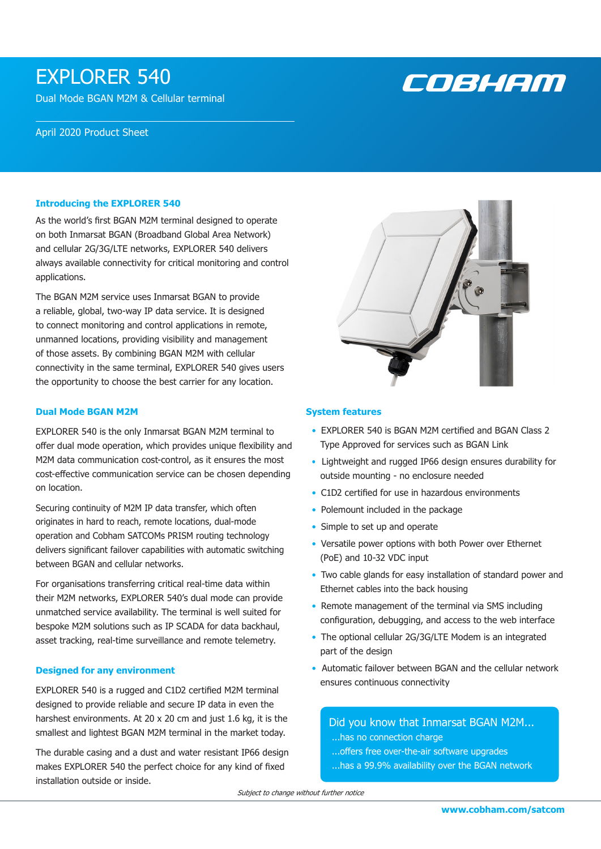# EXPLORER 540

Dual Mode BGAN M2M & Cellular terminal

#### April 2020 Product Sheet

#### **Introducing the EXPLORER 540**

As the world's first BGAN M2M terminal designed to operate on both Inmarsat BGAN (Broadband Global Area Network) and cellular 2G/3G/LTE networks, EXPLORER 540 delivers always available connectivity for critical monitoring and control applications.

The BGAN M2M service uses Inmarsat BGAN to provide a reliable, global, two-way IP data service. It is designed to connect monitoring and control applications in remote, unmanned locations, providing visibility and management of those assets. By combining BGAN M2M with cellular connectivity in the same terminal, EXPLORER 540 gives users the opportunity to choose the best carrier for any location.

#### **Dual Mode BGAN M2M**

EXPLORER 540 is the only Inmarsat BGAN M2M terminal to offer dual mode operation, which provides unique flexibility and M2M data communication cost-control, as it ensures the most cost-effective communication service can be chosen depending on location.

Securing continuity of M2M IP data transfer, which often originates in hard to reach, remote locations, dual-mode operation and Cobham SATCOMs PRISM routing technology delivers significant failover capabilities with automatic switching between BGAN and cellular networks.

For organisations transferring critical real-time data within their M2M networks, EXPLORER 540's dual mode can provide unmatched service availability. The terminal is well suited for bespoke M2M solutions such as IP SCADA for data backhaul, asset tracking, real-time surveillance and remote telemetry.

#### **Designed for any environment**

EXPLORER 540 is a rugged and C1D2 certified M2M terminal designed to provide reliable and secure IP data in even the harshest environments. At 20 x 20 cm and just 1.6 kg, it is the smallest and lightest BGAN M2M terminal in the market today.

The durable casing and a dust and water resistant IP66 design makes EXPLORER 540 the perfect choice for any kind of fixed installation outside or inside.



COBHEM

#### **System features**

- EXPLORER 540 is BGAN M2M certified and BGAN Class 2 Type Approved for services such as BGAN Link
- Lightweight and rugged IP66 design ensures durability for outside mounting - no enclosure needed
- C1D2 certified for use in hazardous environments
- Polemount included in the package
- Simple to set up and operate
- Versatile power options with both Power over Ethernet (PoE) and 10-32 VDC input
- Two cable glands for easy installation of standard power and Ethernet cables into the back housing
- Remote management of the terminal via SMS including configuration, debugging, and access to the web interface
- The optional cellular 2G/3G/LTE Modem is an integrated part of the design
- Automatic failover between BGAN and the cellular network ensures continuous connectivity

# Did you know that Inmarsat BGAN M2M...

- ...has no connection charge
- ...offers free over-the-air software upgrades
- ...has a 99.9% availability over the BGAN network

Subject to change without further notice